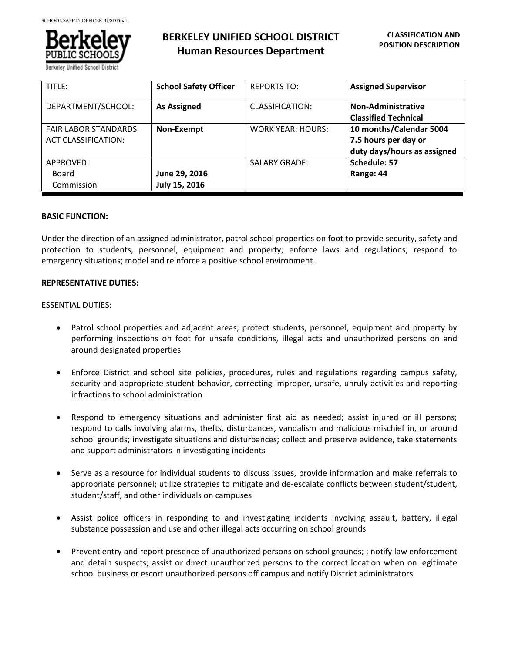

# **BERKELEY UNIFIED SCHOOL DISTRICT Human Resources Department**

| TITLE:                      | <b>School Safety Officer</b> | <b>REPORTS TO:</b>       | <b>Assigned Supervisor</b>  |
|-----------------------------|------------------------------|--------------------------|-----------------------------|
| DEPARTMENT/SCHOOL:          | <b>As Assigned</b>           | CLASSIFICATION:          | Non-Administrative          |
|                             |                              |                          | <b>Classified Technical</b> |
| <b>FAIR LABOR STANDARDS</b> | Non-Exempt                   | <b>WORK YEAR: HOURS:</b> | 10 months/Calendar 5004     |
| <b>ACT CLASSIFICATION:</b>  |                              |                          | 7.5 hours per day or        |
|                             |                              |                          | duty days/hours as assigned |
| APPROVED:                   |                              | <b>SALARY GRADE:</b>     | Schedule: 57                |
| Board                       | June 29, 2016                |                          | Range: 44                   |
| Commission                  | July 15, 2016                |                          |                             |

#### **BASIC FUNCTION:**

Under the direction of an assigned administrator, patrol school properties on foot to provide security, safety and protection to students, personnel, equipment and property; enforce laws and regulations; respond to emergency situations; model and reinforce a positive school environment.

#### **REPRESENTATIVE DUTIES:**

#### ESSENTIAL DUTIES:

- Patrol school properties and adjacent areas; protect students, personnel, equipment and property by performing inspections on foot for unsafe conditions, illegal acts and unauthorized persons on and around designated properties
- Enforce District and school site policies, procedures, rules and regulations regarding campus safety, security and appropriate student behavior, correcting improper, unsafe, unruly activities and reporting infractions to school administration
- Respond to emergency situations and administer first aid as needed; assist injured or ill persons; respond to calls involving alarms, thefts, disturbances, vandalism and malicious mischief in, or around school grounds; investigate situations and disturbances; collect and preserve evidence, take statements and support administrators in investigating incidents
- Serve as a resource for individual students to discuss issues, provide information and make referrals to appropriate personnel; utilize strategies to mitigate and de-escalate conflicts between student/student, student/staff, and other individuals on campuses
- Assist police officers in responding to and investigating incidents involving assault, battery, illegal substance possession and use and other illegal acts occurring on school grounds
- Prevent entry and report presence of unauthorized persons on school grounds; ; notify law enforcement and detain suspects; assist or direct unauthorized persons to the correct location when on legitimate school business or escort unauthorized persons off campus and notify District administrators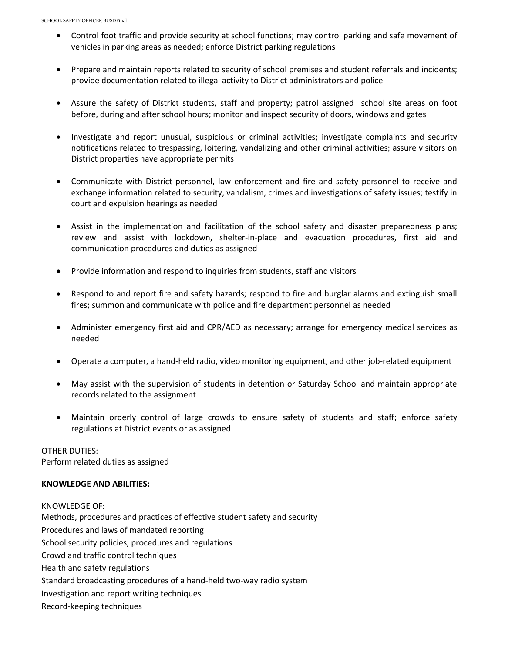- Control foot traffic and provide security at school functions; may control parking and safe movement of vehicles in parking areas as needed; enforce District parking regulations
- Prepare and maintain reports related to security of school premises and student referrals and incidents; provide documentation related to illegal activity to District administrators and police
- Assure the safety of District students, staff and property; patrol assigned school site areas on foot before, during and after school hours; monitor and inspect security of doors, windows and gates
- Investigate and report unusual, suspicious or criminal activities; investigate complaints and security notifications related to trespassing, loitering, vandalizing and other criminal activities; assure visitors on District properties have appropriate permits
- Communicate with District personnel, law enforcement and fire and safety personnel to receive and exchange information related to security, vandalism, crimes and investigations of safety issues; testify in court and expulsion hearings as needed
- Assist in the implementation and facilitation of the school safety and disaster preparedness plans; review and assist with lockdown, shelter-in-place and evacuation procedures, first aid and communication procedures and duties as assigned
- Provide information and respond to inquiries from students, staff and visitors
- Respond to and report fire and safety hazards; respond to fire and burglar alarms and extinguish small fires; summon and communicate with police and fire department personnel as needed
- Administer emergency first aid and CPR/AED as necessary; arrange for emergency medical services as needed
- Operate a computer, a hand-held radio, video monitoring equipment, and other job-related equipment
- May assist with the supervision of students in detention or Saturday School and maintain appropriate records related to the assignment
- Maintain orderly control of large crowds to ensure safety of students and staff; enforce safety regulations at District events or as assigned

OTHER DUTIES: Perform related duties as assigned

#### **KNOWLEDGE AND ABILITIES:**

#### KNOWLEDGE OF:

Methods, procedures and practices of effective student safety and security Procedures and laws of mandated reporting School security policies, procedures and regulations Crowd and traffic control techniques Health and safety regulations Standard broadcasting procedures of a hand-held two-way radio system Investigation and report writing techniques Record-keeping techniques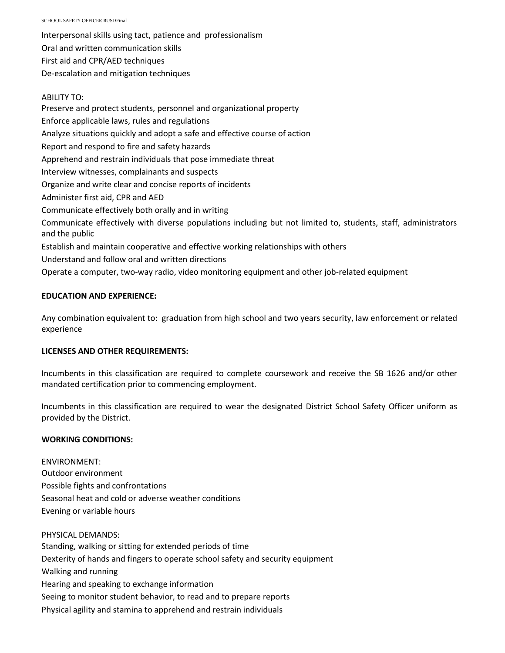SCHOOL SAFETY OFFICER BUSDFinal

Interpersonal skills using tact, patience and professionalism Oral and written communication skills First aid and CPR/AED techniques De-escalation and mitigation techniques

# ABILITY TO:

Preserve and protect students, personnel and organizational property Enforce applicable laws, rules and regulations Analyze situations quickly and adopt a safe and effective course of action Report and respond to fire and safety hazards Apprehend and restrain individuals that pose immediate threat Interview witnesses, complainants and suspects Organize and write clear and concise reports of incidents Administer first aid, CPR and AED Communicate effectively both orally and in writing Communicate effectively with diverse populations including but not limited to, students, staff, administrators and the public Establish and maintain cooperative and effective working relationships with others Understand and follow oral and written directions Operate a computer, two-way radio, video monitoring equipment and other job-related equipment

# **EDUCATION AND EXPERIENCE:**

Any combination equivalent to: graduation from high school and two years security, law enforcement or related experience

# **LICENSES AND OTHER REQUIREMENTS:**

Incumbents in this classification are required to complete coursework and receive the SB 1626 and/or other mandated certification prior to commencing employment.

Incumbents in this classification are required to wear the designated District School Safety Officer uniform as provided by the District.

# **WORKING CONDITIONS:**

ENVIRONMENT: Outdoor environment Possible fights and confrontations Seasonal heat and cold or adverse weather conditions Evening or variable hours

PHYSICAL DEMANDS: Standing, walking or sitting for extended periods of time Dexterity of hands and fingers to operate school safety and security equipment Walking and running Hearing and speaking to exchange information Seeing to monitor student behavior, to read and to prepare reports Physical agility and stamina to apprehend and restrain individuals